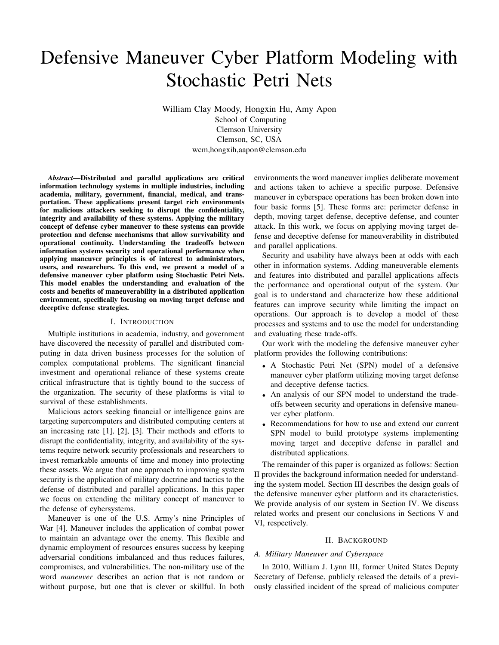# Defensive Maneuver Cyber Platform Modeling with Stochastic Petri Nets

William Clay Moody, Hongxin Hu, Amy Apon School of Computing Clemson University Clemson, SC, USA wcm,hongxih,aapon@clemson.edu

*Abstract*—Distributed and parallel applications are critical information technology systems in multiple industries, including academia, military, government, financial, medical, and transportation. These applications present target rich environments for malicious attackers seeking to disrupt the confidentiality, integrity and availability of these systems. Applying the military concept of defense cyber maneuver to these systems can provide protection and defense mechanisms that allow survivability and operational continuity. Understanding the tradeoffs between information systems security and operational performance when applying maneuver principles is of interest to administrators, users, and researchers. To this end, we present a model of a defensive maneuver cyber platform using Stochastic Petri Nets. This model enables the understanding and evaluation of the costs and benefits of maneuverability in a distributed application environment, specifically focusing on moving target defense and deceptive defense strategies.

## I. INTRODUCTION

Multiple institutions in academia, industry, and government have discovered the necessity of parallel and distributed computing in data driven business processes for the solution of complex computational problems. The significant financial investment and operational reliance of these systems create critical infrastructure that is tightly bound to the success of the organization. The security of these platforms is vital to survival of these establishments.

Malicious actors seeking financial or intelligence gains are targeting supercomputers and distributed computing centers at an increasing rate [1], [2], [3]. Their methods and efforts to disrupt the confidentiality, integrity, and availability of the systems require network security professionals and researchers to invest remarkable amounts of time and money into protecting these assets. We argue that one approach to improving system security is the application of military doctrine and tactics to the defense of distributed and parallel applications. In this paper we focus on extending the military concept of maneuver to the defense of cybersystems.

Maneuver is one of the U.S. Army's nine Principles of War [4]. Maneuver includes the application of combat power to maintain an advantage over the enemy. This flexible and dynamic employment of resources ensures success by keeping adversarial conditions imbalanced and thus reduces failures, compromises, and vulnerabilities. The non-military use of the word *maneuver* describes an action that is not random or without purpose, but one that is clever or skillful. In both

environments the word maneuver implies deliberate movement and actions taken to achieve a specific purpose. Defensive maneuver in cyberspace operations has been broken down into four basic forms [5]. These forms are: perimeter defense in depth, moving target defense, deceptive defense, and counter attack. In this work, we focus on applying moving target defense and deceptive defense for maneuverability in distributed and parallel applications.

Security and usability have always been at odds with each other in information systems. Adding maneuverable elements and features into distributed and parallel applications affects the performance and operational output of the system. Our goal is to understand and characterize how these additional features can improve security while limiting the impact on operations. Our approach is to develop a model of these processes and systems and to use the model for understanding and evaluating these trade-offs.

Our work with the modeling the defensive maneuver cyber platform provides the following contributions:

- A Stochastic Petri Net (SPN) model of a defensive maneuver cyber platform utilizing moving target defense and deceptive defense tactics.
- An analysis of our SPN model to understand the tradeoffs between security and operations in defensive maneuver cyber platform.
- Recommendations for how to use and extend our current SPN model to build prototype systems implementing moving target and deceptive defense in parallel and distributed applications.

The remainder of this paper is organized as follows: Section II provides the background information needed for understanding the system model. Section III describes the design goals of the defensive maneuver cyber platform and its characteristics. We provide analysis of our system in Section IV. We discuss related works and present our conclusions in Sections V and VI, respectively.

#### II. BACKGROUND

#### *A. Military Maneuver and Cyberspace*

In 2010, William J. Lynn III, former United States Deputy Secretary of Defense, publicly released the details of a previously classified incident of the spread of malicious computer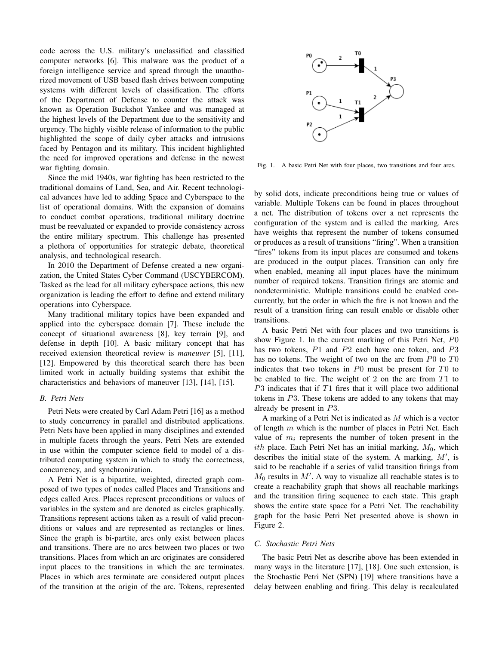code across the U.S. military's unclassified and classified computer networks [6]. This malware was the product of a foreign intelligence service and spread through the unauthorized movement of USB based flash drives between computing systems with different levels of classification. The efforts of the Department of Defense to counter the attack was known as Operation Buckshot Yankee and was managed at the highest levels of the Department due to the sensitivity and urgency. The highly visible release of information to the public highlighted the scope of daily cyber attacks and intrusions faced by Pentagon and its military. This incident highlighted the need for improved operations and defense in the newest war fighting domain.

Since the mid 1940s, war fighting has been restricted to the traditional domains of Land, Sea, and Air. Recent technological advances have led to adding Space and Cyberspace to the list of operational domains. With the expansion of domains to conduct combat operations, traditional military doctrine must be reevaluated or expanded to provide consistency across the entire military spectrum. This challenge has presented a plethora of opportunities for strategic debate, theoretical analysis, and technological research.

In 2010 the Department of Defense created a new organization, the United States Cyber Command (USCYBERCOM). Tasked as the lead for all military cyberspace actions, this new organization is leading the effort to define and extend military operations into Cyberspace.

Many traditional military topics have been expanded and applied into the cyberspace domain [7]. These include the concept of situational awareness [8], key terrain [9], and defense in depth [10]. A basic military concept that has received extension theoretical review is *maneuver* [5], [11], [12]. Empowered by this theoretical search there has been limited work in actually building systems that exhibit the characteristics and behaviors of maneuver [13], [14], [15].

## *B. Petri Nets*

Petri Nets were created by Carl Adam Petri [16] as a method to study concurrency in parallel and distributed applications. Petri Nets have been applied in many disciplines and extended in multiple facets through the years. Petri Nets are extended in use within the computer science field to model of a distributed computing system in which to study the correctness, concurrency, and synchronization.

A Petri Net is a bipartite, weighted, directed graph composed of two types of nodes called Places and Transitions and edges called Arcs. Places represent preconditions or values of variables in the system and are denoted as circles graphically. Transitions represent actions taken as a result of valid preconditions or values and are represented as rectangles or lines. Since the graph is bi-partite, arcs only exist between places and transitions. There are no arcs between two places or two transitions. Places from which an arc originates are considered input places to the transitions in which the arc terminates. Places in which arcs terminate are considered output places of the transition at the origin of the arc. Tokens, represented



Fig. 1. A basic Petri Net with four places, two transitions and four arcs.

by solid dots, indicate preconditions being true or values of variable. Multiple Tokens can be found in places throughout a net. The distribution of tokens over a net represents the configuration of the system and is called the marking. Arcs have weights that represent the number of tokens consumed or produces as a result of transitions "firing". When a transition "fires" tokens from its input places are consumed and tokens are produced in the output places. Transition can only fire when enabled, meaning all input places have the minimum number of required tokens. Transition firings are atomic and nondeterministic. Multiple transitions could be enabled concurrently, but the order in which the fire is not known and the result of a transition firing can result enable or disable other transitions.

A basic Petri Net with four places and two transitions is show Figure 1. In the current marking of this Petri Net, P0 has two tokens, P1 and P2 each have one token, and P3 has no tokens. The weight of two on the arc from  $P0$  to  $T0$ indicates that two tokens in  $P0$  must be present for  $T0$  to be enabled to fire. The weight of 2 on the arc from T1 to  $P3$  indicates that if  $T1$  fires that it will place two additional tokens in P3. These tokens are added to any tokens that may already be present in P3.

A marking of a Petri Net is indicated as M which is a vector of length  $m$  which is the number of places in Petri Net. Each value of  $m_i$  represents the number of token present in the ith place. Each Petri Net has an initial marking,  $M_0$ , which describes the initial state of the system. A marking,  $M'$ , is said to be reachable if a series of valid transition firings from  $M_0$  results in  $M'$ . A way to visualize all reachable states is to create a reachability graph that shows all reachable markings and the transition firing sequence to each state. This graph shows the entire state space for a Petri Net. The reachability graph for the basic Petri Net presented above is shown in Figure 2.

## *C. Stochastic Petri Nets*

The basic Petri Net as describe above has been extended in many ways in the literature [17], [18]. One such extension, is the Stochastic Petri Net (SPN) [19] where transitions have a delay between enabling and firing. This delay is recalculated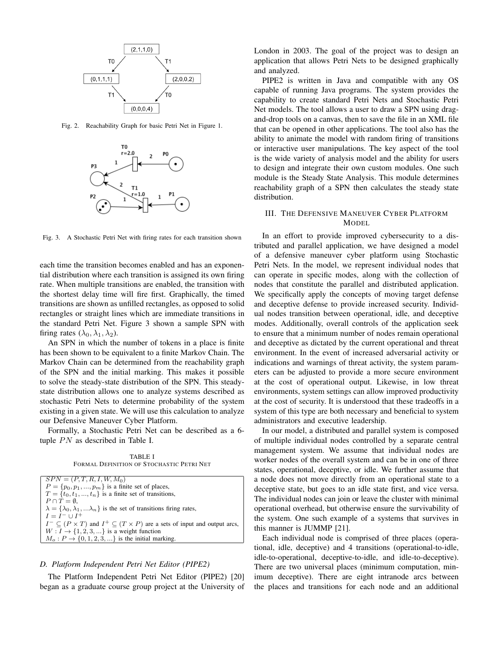

Fig. 2. Reachability Graph for basic Petri Net in Figure 1.



Fig. 3. A Stochastic Petri Net with firing rates for each transition shown

each time the transition becomes enabled and has an exponential distribution where each transition is assigned its own firing rate. When multiple transitions are enabled, the transition with the shortest delay time will fire first. Graphically, the timed transitions are shown as unfilled rectangles, as opposed to solid rectangles or straight lines which are immediate transitions in the standard Petri Net. Figure 3 shown a sample SPN with firing rates  $(\lambda_0, \lambda_1, \lambda_2)$ .

An SPN in which the number of tokens in a place is finite has been shown to be equivalent to a finite Markov Chain. The Markov Chain can be determined from the reachability graph of the SPN and the initial marking. This makes it possible to solve the steady-state distribution of the SPN. This steadystate distribution allows one to analyze systems described as stochastic Petri Nets to determine probability of the system existing in a given state. We will use this calculation to analyze our Defensive Maneuver Cyber Platform.

Formally, a Stochastic Petri Net can be described as a 6 tuple  $PN$  as described in Table I.

TABLE I FORMAL DEFINITION OF STOCHASTIC PETRI NET

## *D. Platform Independent Petri Net Editor (PIPE2)*

The Platform Independent Petri Net Editor (PIPE2) [20] began as a graduate course group project at the University of London in 2003. The goal of the project was to design an application that allows Petri Nets to be designed graphically and analyzed.

PIPE2 is written in Java and compatible with any OS capable of running Java programs. The system provides the capability to create standard Petri Nets and Stochastic Petri Net models. The tool allows a user to draw a SPN using dragand-drop tools on a canvas, then to save the file in an XML file that can be opened in other applications. The tool also has the ability to animate the model with random firing of transitions or interactive user manipulations. The key aspect of the tool is the wide variety of analysis model and the ability for users to design and integrate their own custom modules. One such module is the Steady State Analysis. This module determines reachability graph of a SPN then calculates the steady state distribution.

# III. THE DEFENSIVE MANEUVER CYBER PLATFORM MODEL

In an effort to provide improved cybersecurity to a distributed and parallel application, we have designed a model of a defensive maneuver cyber platform using Stochastic Petri Nets. In the model, we represent individual nodes that can operate in specific modes, along with the collection of nodes that constitute the parallel and distributed application. We specifically apply the concepts of moving target defense and deceptive defense to provide increased security. Individual nodes transition between operational, idle, and deceptive modes. Additionally, overall controls of the application seek to ensure that a minimum number of nodes remain operational and deceptive as dictated by the current operational and threat environment. In the event of increased adversarial activity or indications and warnings of threat activity, the system parameters can be adjusted to provide a more secure environment at the cost of operational output. Likewise, in low threat environments, system settings can allow improved productivity at the cost of security. It is understood that these tradeoffs in a system of this type are both necessary and beneficial to system administrators and executive leadership.

In our model, a distributed and parallel system is composed of multiple individual nodes controlled by a separate central management system. We assume that individual nodes are worker nodes of the overall system and can be in one of three states, operational, deceptive, or idle. We further assume that a node does not move directly from an operational state to a deceptive state, but goes to an idle state first, and vice versa. The individual nodes can join or leave the cluster with minimal operational overhead, but otherwise ensure the survivability of the system. One such example of a systems that survives in this manner is JUMMP [21].

Each individual node is comprised of three places (operational, idle, deceptive) and 4 transitions (operational-to-idle, idle-to-operational, deceptive-to-idle, and idle-to-deceptive). There are two universal places (minimum computation, minimum deceptive). There are eight intranode arcs between the places and transitions for each node and an additional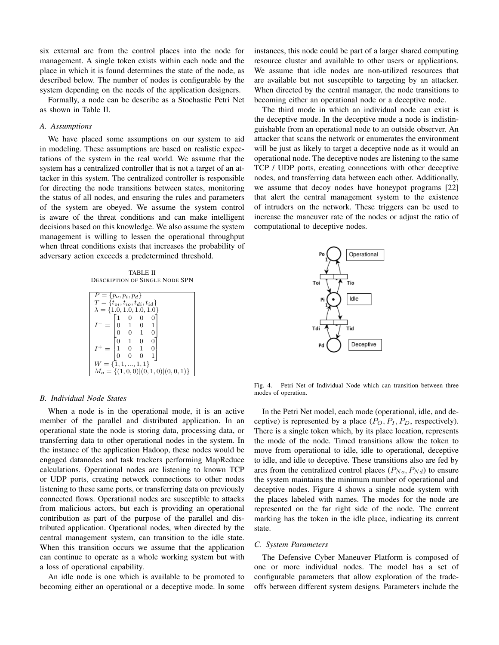six external arc from the control places into the node for management. A single token exists within each node and the place in which it is found determines the state of the node, as described below. The number of nodes is configurable by the system depending on the needs of the application designers.

Formally, a node can be describe as a Stochastic Petri Net as shown in Table II.

## *A. Assumptions*

We have placed some assumptions on our system to aid in modeling. These assumptions are based on realistic expectations of the system in the real world. We assume that the system has a centralized controller that is not a target of an attacker in this system. The centralized controller is responsible for directing the node transitions between states, monitoring the status of all nodes, and ensuring the rules and parameters of the system are obeyed. We assume the system control is aware of the threat conditions and can make intelligent decisions based on this knowledge. We also assume the system management is willing to lessen the operational throughput when threat conditions exists that increases the probability of adversary action exceeds a predetermined threshold.

TABLE II DESCRIPTION OF SINGLE NODE SPN

| $P = \{p_o, p_i, p_d\}$                  |                |                                                        |  |  |  |
|------------------------------------------|----------------|--------------------------------------------------------|--|--|--|
| $T = \{t_{oi}, t_{io}, t_{di}, t_{id}\}$ |                |                                                        |  |  |  |
| $\lambda = \{1.0, 1.0, 1.0, 1.0\}$       |                |                                                        |  |  |  |
|                                          |                | $\begin{bmatrix} 1 & 0 & 0 \\ 0 & 1 & 0 \end{bmatrix}$ |  |  |  |
|                                          |                |                                                        |  |  |  |
|                                          |                | $0\quad 1$                                             |  |  |  |
|                                          | $\Omega$       | $1 \quad 0$                                            |  |  |  |
| $=  1$                                   |                | $\begin{matrix}0&1\end{matrix}$                        |  |  |  |
|                                          | $\overline{0}$ | $\begin{pmatrix} 0 & 0 \end{pmatrix}$                  |  |  |  |
| $W = \{1, 1, , 1, 1\}$                   |                |                                                        |  |  |  |
| $M_o = \{(1,0,0)   (0,1,0)   (0,0,1)\}\$ |                |                                                        |  |  |  |

#### *B. Individual Node States*

When a node is in the operational mode, it is an active member of the parallel and distributed application. In an operational state the node is storing data, processing data, or transferring data to other operational nodes in the system. In the instance of the application Hadoop, these nodes would be engaged datanodes and task trackers performing MapReduce calculations. Operational nodes are listening to known TCP or UDP ports, creating network connections to other nodes listening to these same ports, or transferring data on previously connected flows. Operational nodes are susceptible to attacks from malicious actors, but each is providing an operational contribution as part of the purpose of the parallel and distributed application. Operational nodes, when directed by the central management system, can transition to the idle state. When this transition occurs we assume that the application can continue to operate as a whole working system but with a loss of operational capability.

An idle node is one which is available to be promoted to becoming either an operational or a deceptive mode. In some instances, this node could be part of a larger shared computing resource cluster and available to other users or applications. We assume that idle nodes are non-utilized resources that are available but not susceptible to targeting by an attacker. When directed by the central manager, the node transitions to becoming either an operational node or a deceptive node.

The third mode in which an individual node can exist is the deceptive mode. In the deceptive mode a node is indistinguishable from an operational node to an outside observer. An attacker that scans the network or enumerates the environment will be just as likely to target a deceptive node as it would an operational node. The deceptive nodes are listening to the same TCP / UDP ports, creating connections with other deceptive nodes, and transferring data between each other. Additionally, we assume that decoy nodes have honeypot programs [22] that alert the central management system to the existence of intruders on the network. These triggers can be used to increase the maneuver rate of the nodes or adjust the ratio of computational to deceptive nodes.



Fig. 4. Petri Net of Individual Node which can transition between three modes of operation.

In the Petri Net model, each mode (operational, idle, and deceptive) is represented by a place  $(P_O, P_I, P_D,$  respectively). There is a single token which, by its place location, represents the mode of the node. Timed transitions allow the token to move from operational to idle, idle to operational, deceptive to idle, and idle to deceptive. These transitions also are fed by arcs from the centralized control places  $(P_{No}, P_{Nd})$  to ensure the system maintains the minimum number of operational and deceptive nodes. Figure 4 shows a single node system with the places labeled with names. The modes for the node are represented on the far right side of the node. The current marking has the token in the idle place, indicating its current state.

## *C. System Parameters*

The Defensive Cyber Maneuver Platform is composed of one or more individual nodes. The model has a set of configurable parameters that allow exploration of the tradeoffs between different system designs. Parameters include the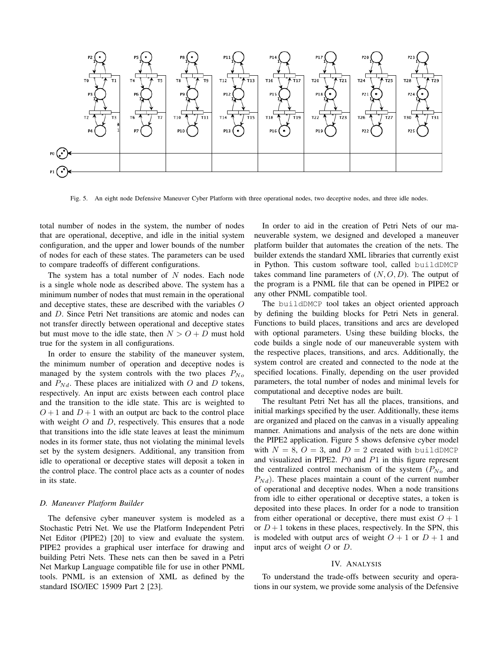

Fig. 5. An eight node Defensive Maneuver Cyber Platform with three operational nodes, two deceptive nodes, and three idle nodes.

total number of nodes in the system, the number of nodes that are operational, deceptive, and idle in the initial system configuration, and the upper and lower bounds of the number of nodes for each of these states. The parameters can be used to compare tradeoffs of different configurations.

The system has a total number of  $N$  nodes. Each node is a single whole node as described above. The system has a minimum number of nodes that must remain in the operational and deceptive states, these are described with the variables O and D. Since Petri Net transitions are atomic and nodes can not transfer directly between operational and deceptive states but must move to the idle state, then  $N > O + D$  must hold true for the system in all configurations.

In order to ensure the stability of the maneuver system, the minimum number of operation and deceptive nodes is managed by the system controls with the two places  $P_{No}$ and  $P_{Nd}$ . These places are initialized with O and D tokens, respectively. An input arc exists between each control place and the transition to the idle state. This arc is weighted to  $O+1$  and  $D+1$  with an output arc back to the control place with weight  $O$  and  $D$ , respectively. This ensures that a node that transitions into the idle state leaves at least the minimum nodes in its former state, thus not violating the minimal levels set by the system designers. Additional, any transition from idle to operational or deceptive states will deposit a token in the control place. The control place acts as a counter of nodes in its state.

## *D. Maneuver Platform Builder*

The defensive cyber maneuver system is modeled as a Stochastic Petri Net. We use the Platform Independent Petri Net Editor (PIPE2) [20] to view and evaluate the system. PIPE2 provides a graphical user interface for drawing and building Petri Nets. These nets can then be saved in a Petri Net Markup Language compatible file for use in other PNML tools. PNML is an extension of XML as defined by the standard ISO/IEC 15909 Part 2 [23].

In order to aid in the creation of Petri Nets of our maneuverable system, we designed and developed a maneuver platform builder that automates the creation of the nets. The builder extends the standard XML libraries that currently exist in Python. This custom software tool, called buildDMCP takes command line parameters of  $(N, O, D)$ . The output of the program is a PNML file that can be opened in PIPE2 or any other PNML compatible tool.

The buildDMCP tool takes an object oriented approach by defining the building blocks for Petri Nets in general. Functions to build places, transitions and arcs are developed with optional parameters. Using these building blocks, the code builds a single node of our maneuverable system with the respective places, transitions, and arcs. Additionally, the system control are created and connected to the node at the specified locations. Finally, depending on the user provided parameters, the total number of nodes and minimal levels for computational and deceptive nodes are built.

The resultant Petri Net has all the places, transitions, and initial markings specified by the user. Additionally, these items are organized and placed on the canvas in a visually appealing manner. Animations and analysis of the nets are done within the PIPE2 application. Figure 5 shows defensive cyber model with  $N = 8$ ,  $O = 3$ , and  $D = 2$  created with buildDMCP and visualized in PIPE2.  $P_0$  and  $P_1$  in this figure represent the centralized control mechanism of the system  $(P_{No}$  and  $P_{Nd}$ ). These places maintain a count of the current number of operational and deceptive nodes. When a node transitions from idle to either operational or deceptive states, a token is deposited into these places. In order for a node to transition from either operational or deceptive, there must exist  $O + 1$ or  $D+1$  tokens in these places, respectively. In the SPN, this is modeled with output arcs of weight  $O + 1$  or  $D + 1$  and input arcs of weight  $O$  or  $D$ .

## IV. ANALYSIS

To understand the trade-offs between security and operations in our system, we provide some analysis of the Defensive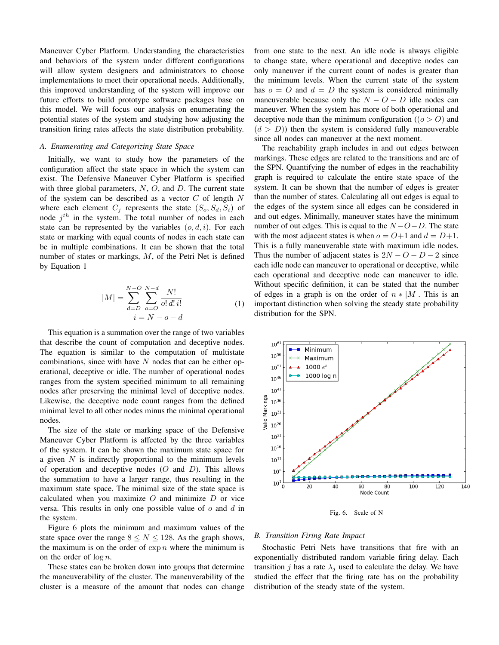Maneuver Cyber Platform. Understanding the characteristics and behaviors of the system under different configurations will allow system designers and administrators to choose implementations to meet their operational needs. Additionally, this improved understanding of the system will improve our future efforts to build prototype software packages base on this model. We will focus our analysis on enumerating the potential states of the system and studying how adjusting the transition firing rates affects the state distribution probability.

# *A. Enumerating and Categorizing State Space*

Initially, we want to study how the parameters of the configuration affect the state space in which the system can exist. The Defensive Maneuver Cyber Platform is specified with three global parameters,  $N$ ,  $O$ , and  $D$ . The current state of the system can be described as a vector  $C$  of length  $N$ where each element  $C_j$  represents the state  $(S_o, S_d, S_i)$  of node  $j<sup>th</sup>$  in the system. The total number of nodes in each state can be represented by the variables  $(o, d, i)$ . For each state or marking with equal counts of nodes in each state can be in multiple combinations. It can be shown that the total number of states or markings, M, of the Petri Net is defined by Equation 1

$$
|M| = \sum_{d=D}^{N-O} \sum_{o=O}^{N-d} \frac{N!}{o! \, d! \, i!}
$$
  
  $i = N - o - d$  (1)

This equation is a summation over the range of two variables that describe the count of computation and deceptive nodes. The equation is similar to the computation of multistate combinations, since with have  $N$  nodes that can be either operational, deceptive or idle. The number of operational nodes ranges from the system specified minimum to all remaining nodes after preserving the minimal level of deceptive nodes. Likewise, the deceptive node count ranges from the defined minimal level to all other nodes minus the minimal operational nodes.

The size of the state or marking space of the Defensive Maneuver Cyber Platform is affected by the three variables of the system. It can be shown the maximum state space for a given  $N$  is indirectly proportional to the minimum levels of operation and deceptive nodes  $(O \text{ and } D)$ . This allows the summation to have a larger range, thus resulting in the maximum state space. The minimal size of the state space is calculated when you maximize  $O$  and minimize  $D$  or vice versa. This results in only one possible value of  $o$  and  $d$  in the system.

Figure 6 plots the minimum and maximum values of the state space over the range  $8 \le N \le 128$ . As the graph shows, the maximum is on the order of  $\exp n$  where the minimum is on the order of  $\log n$ .

These states can be broken down into groups that determine the maneuverability of the cluster. The maneuverability of the cluster is a measure of the amount that nodes can change from one state to the next. An idle node is always eligible to change state, where operational and deceptive nodes can only maneuver if the current count of nodes is greater than the minimum levels. When the current state of the system has  $o = O$  and  $d = D$  the system is considered minimally maneuverable because only the  $N - O - D$  idle nodes can maneuver. When the system has more of both operational and deceptive node than the minimum configuration ( $(o > 0)$ ) and  $(d > D)$ ) then the system is considered fully maneuverable since all nodes can maneuver at the next moment.

The reachability graph includes in and out edges between markings. These edges are related to the transitions and arc of the SPN. Quantifying the number of edges in the reachability graph is required to calculate the entire state space of the system. It can be shown that the number of edges is greater than the number of states. Calculating all out edges is equal to the edges of the system since all edges can be considered in and out edges. Minimally, maneuver states have the minimum number of out edges. This is equal to the  $N - O - D$ . The state with the most adjacent states is when  $o = O+1$  and  $d = D+1$ . This is a fully maneuverable state with maximum idle nodes. Thus the number of adjacent states is  $2N - O - D - 2$  since each idle node can maneuver to operational or deceptive, while each operational and deceptive node can maneuver to idle. Without specific definition, it can be stated that the number of edges in a graph is on the order of  $n * |M|$ . This is an important distinction when solving the steady state probability distribution for the SPN.



Fig. 6. Scale of N

### *B. Transition Firing Rate Impact*

Stochastic Petri Nets have transitions that fire with an exponentially distributed random variable firing delay. Each transition j has a rate  $\lambda_i$  used to calculate the delay. We have studied the effect that the firing rate has on the probability distribution of the steady state of the system.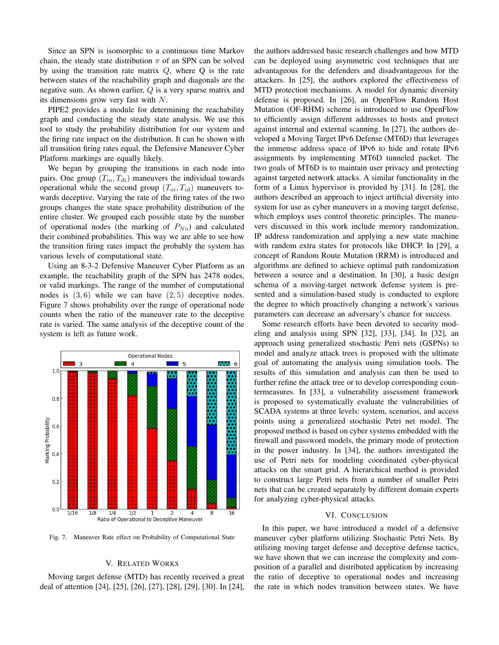Since an SPN is isomorphic to a continuous time Markov chain, the steady state distribution  $\pi$  of an SPN can be solved by using the transition rate matrix  $Q$ , where  $Q$  is the rate between states of the reachability graph and diagonals are the negative sum. As shown earlier, Q is a very sparse matrix and its dimensions grow very fast with  $N$ .

PIPE2 provides a module for determining the reachability graph and conducting the steady state analysis. We use this tool to study the probability distribution for our system and the firing rate impact on the distribution. It can be shown with all transition firing rates equal, the Defensive Maneuver Cyber Platform markings are equally likely.

We began by grouping the transitions in each node into pairs. One group  $(T_{io}, T_{di})$  maneuvers the individual towards operational while the second group  $(T_{oi}, T_{id})$  maneuvers towards deceptive. Varying the rate of the firing rates of the two groups changes the state space probability distribution of the entire cluster. We grouped each possible state by the number of operational nodes (the marking of  $P_{N_o}$ ) and calculated their combined probabilities. This way we are able to see how the transition firing rates impact the probably the system has various levels of computational state.

Using an 8-3-2 Defensive Maneuver Cyber Platform as an example, the reachability graph of the SPN has 2478 nodes, or valid markings. The range of the number of computational nodes is  $(3, 6)$  while we can have  $(2, 5)$  deceptive nodes. Figure 7 shows probability over the range of operational node counts when the ratio of the maneuver rate to the deceptive rate is varied. The same analysis of the deceptive count of the system is left as future work.



Fig. 7. Maneuver Rate effect on Probability of Computational State

## V. RELATED WORKS

Moving target defense (MTD) has recently received a great deal of attention [24], [25], [26], [27], [28], [29], [30]. In [24], the authors addressed basic research challenges and how MTD can be deployed using asymmetric cost techniques that are advantageous for the defenders and disadvantageous for the attackers. In [25], the authors explored the effectiveness of MTD protection mechanisms. A model for dynamic diversity defense is proposed. In [26], an OpenFlow Random Host Mutation (OF-RHM) scheme is introduced to use OpenFlow to efficiently assign different addresses to hosts and protect against internal and external scanning. In [27], the authors developed a Moving Target IPv6 Defense (MT6D) that leverages the immense address space of IPv6 to hide and rotate IPv6 assignments by implementing MT6D tunneled packet. The two goals of MT6D is to maintain user privacy and protecting against targeted network attacks. A similar functionality in the form of a Linux hypervisor is provided by [31]. In [28], the authors described an approach to inject artificial diversity into system for use as cyber maneuvers in a moving target defense, which employs uses control theoretic principles. The maneuvers discussed in this work include memory randomization, IP address randomization and applying a new state machine with random extra states for protocols like DHCP. In [29], a concept of Random Route Mutation (RRM) is introduced and algorithms are defined to achieve optimal path randomization between a source and a destination. In [30], a basic design schema of a moving-target network defense system is presented and a simulation-based study is conducted to explore the degree to which proactively changing a network's various parameters can decrease an adversary's chance for success.

Some research efforts have been devoted to security modeling and analysis using SPN [32], [33], [34]. In [32], an approach using generalized stochastic Petri nets (GSPNs) to model and analyze attack trees is proposed with the ultimate goal of automating the analysis using simulation tools. The results of this simulation and analysis can then be used to further refine the attack tree or to develop corresponding countermeasures. In [33], a vulnerability assessment framework is proposed to systematically evaluate the vulnerabilities of SCADA systems at three levels: system, scenarios, and access points using a generalized stochastic Petri net model. The proposed method is based on cyber systems embedded with the firewall and password models, the primary mode of protection in the power industry. In [34], the authors investigated the use of Petri nets for modeling coordinated cyber-physical attacks on the smart grid. A hierarchical method is provided to construct large Petri nets from a number of smaller Petri nets that can be created separately by different domain experts for analyzing cyber-physical attacks.

#### VI. CONCLUSION

In this paper, we have introduced a model of a defensive maneuver cyber platform utilizing Stochastic Petri Nets. By utilizing moving target defense and deceptive defense tactics, we have shown that we can increase the complexity and composition of a parallel and distributed application by increasing the ratio of deceptive to operational nodes and increasing the rate in which nodes transition between states. We have